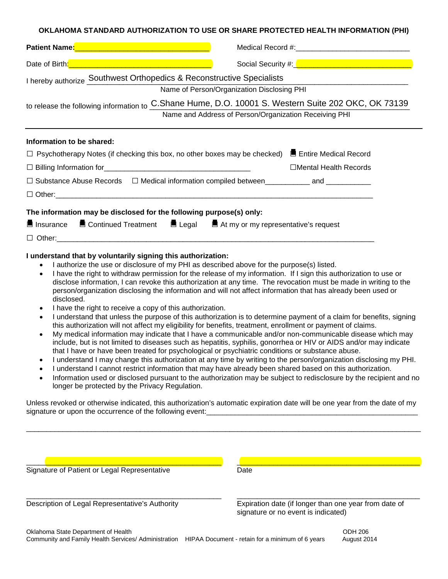#### **OKLAHOMA STANDARD AUTHORIZATION TO USE OR SHARE PROTECTED HEALTH INFORMATION (PHI)**

| Patient Name: 2008 2009 2009 2010 2021 2022 2023 2024 2022 2023 2024 2022 2023                                                                                                                                                                                                                                                                                                                                                                                                                                                                                                 |                                                                                                                                                                                                                                                                                                                                                       |
|--------------------------------------------------------------------------------------------------------------------------------------------------------------------------------------------------------------------------------------------------------------------------------------------------------------------------------------------------------------------------------------------------------------------------------------------------------------------------------------------------------------------------------------------------------------------------------|-------------------------------------------------------------------------------------------------------------------------------------------------------------------------------------------------------------------------------------------------------------------------------------------------------------------------------------------------------|
| Date of Birth: <b>Contract of Birth</b> 2014 and 2014 and 2014 and 2014 and 2014 and 2014                                                                                                                                                                                                                                                                                                                                                                                                                                                                                      |                                                                                                                                                                                                                                                                                                                                                       |
| I hereby authorize Southwest Orthopedics & Reconstructive Specialists<br>Name of Person/Organization Disclosing PHI<br>to release the following information to C.Shane Hume, D.O. 10001 S. Western Suite 202 OKC, OK 73139<br>Name and Address of Person/Organization Receiving PHI                                                                                                                                                                                                                                                                                            |                                                                                                                                                                                                                                                                                                                                                       |
| Information to be shared:<br>□ Psychotherapy Notes (if checking this box, no other boxes may be checked) ■ Entire Medical Record<br>□ Substance Abuse Records  □ Medical information compiled between___________ and ___________<br>$\Box$ Other: $\Box$                                                                                                                                                                                                                                                                                                                       | □Mental Health Records                                                                                                                                                                                                                                                                                                                                |
| The information may be disclosed for the following purpose(s) only:<br><b>E</b> Insurance E Continued Treatment E Legal E At my or my representative's request<br>I understand that by voluntarily signing this authorization:<br>I authorize the use or disclosure of my PHI as described above for the purpose(s) listed.<br>disclosed.<br>$\mathbf{r}$ , and the contract of the contract of the contract of the contract of the contract of the contract of the contract of the contract of the contract of the contract of the contract of the contract of the contract o | I have the right to withdraw permission for the release of my information. If I sign this authorization to use or<br>disclose information, I can revoke this authorization at any time. The revocation must be made in writing to the<br>person/organization disclosing the information and will not affect information that has already been used or |

- I have the right to receive a copy of this authorization.
- I understand that unless the purpose of this authorization is to determine payment of a claim for benefits, signing this authorization will not affect my eligibility for benefits, treatment, enrollment or payment of claims.
- My medical information may indicate that I have a communicable and/or non-communicable disease which may include, but is not limited to diseases such as hepatitis, syphilis, gonorrhea or HIV or AIDS and/or may indicate that I have or have been treated for psychological or psychiatric conditions or substance abuse.
- I understand I may change this authorization at any time by writing to the person/organization disclosing my PHI.
- I understand I cannot restrict information that may have already been shared based on this authorization.
- Information used or disclosed pursuant to the authorization may be subject to redisclosure by the recipient and no longer be protected by the Privacy Regulation.

Unless revoked or otherwise indicated, this authorization's automatic expiration date will be one year from the date of my signature or upon the occurrence of the following event:

 $\_$  ,  $\_$  ,  $\_$  ,  $\_$  ,  $\_$  ,  $\_$  ,  $\_$  ,  $\_$  ,  $\_$  ,  $\_$  ,  $\_$  ,  $\_$  ,  $\_$  ,  $\_$  ,  $\_$  ,  $\_$  ,  $\_$  ,  $\_$  ,  $\_$  ,  $\_$  ,  $\_$  ,  $\_$  ,  $\_$  ,  $\_$  ,  $\_$  ,  $\_$  ,  $\_$  ,  $\_$  ,  $\_$  ,  $\_$  ,  $\_$  ,  $\_$  ,  $\_$  ,  $\_$  ,  $\_$  ,  $\_$  ,  $\_$  ,

| Signature of Patient or Legal Representative    | Date                                                                                         |
|-------------------------------------------------|----------------------------------------------------------------------------------------------|
|                                                 |                                                                                              |
| Description of Legal Representative's Authority | Expiration date (if longer than one year from date of<br>signature or no event is indicated) |